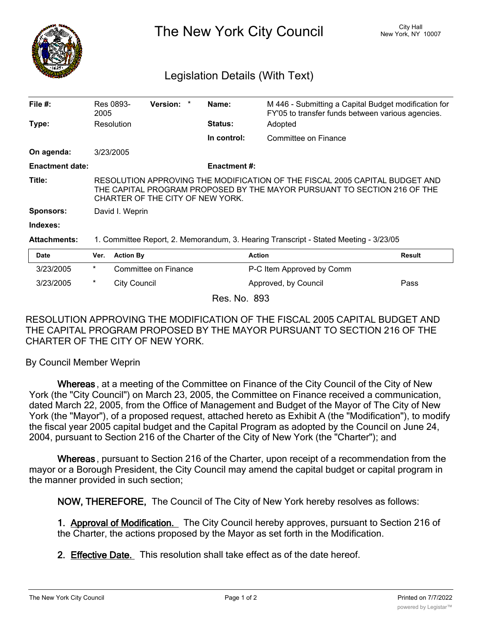

The New York City Council New York, NY 10007

## Legislation Details (With Text)

| File $#$ :             | 2005                                                                                                                                                                                        | Res 0893-           | <b>Version:</b>      | Name:               | M 446 - Submitting a Capital Budget modification for<br>FY'05 to transfer funds between various agencies. |               |
|------------------------|---------------------------------------------------------------------------------------------------------------------------------------------------------------------------------------------|---------------------|----------------------|---------------------|-----------------------------------------------------------------------------------------------------------|---------------|
| Type:                  |                                                                                                                                                                                             | Resolution          |                      | Status:             | Adopted                                                                                                   |               |
|                        |                                                                                                                                                                                             |                     |                      | In control:         | Committee on Finance                                                                                      |               |
| On agenda:             |                                                                                                                                                                                             | 3/23/2005           |                      |                     |                                                                                                           |               |
| <b>Enactment date:</b> |                                                                                                                                                                                             |                     |                      | <b>Enactment #:</b> |                                                                                                           |               |
| Title:                 | RESOLUTION APPROVING THE MODIFICATION OF THE FISCAL 2005 CAPITAL BUDGET AND<br>THE CAPITAL PROGRAM PROPOSED BY THE MAYOR PURSUANT TO SECTION 216 OF THE<br>CHARTER OF THE CITY OF NEW YORK. |                     |                      |                     |                                                                                                           |               |
| <b>Sponsors:</b>       | David I. Weprin                                                                                                                                                                             |                     |                      |                     |                                                                                                           |               |
| Indexes:               |                                                                                                                                                                                             |                     |                      |                     |                                                                                                           |               |
| <b>Attachments:</b>    | 1. Committee Report, 2. Memorandum, 3. Hearing Transcript - Stated Meeting - 3/23/05                                                                                                        |                     |                      |                     |                                                                                                           |               |
| <b>Date</b>            | Ver.                                                                                                                                                                                        | <b>Action By</b>    |                      |                     | <b>Action</b>                                                                                             | <b>Result</b> |
| 3/23/2005              | *                                                                                                                                                                                           |                     | Committee on Finance |                     | P-C Item Approved by Comm                                                                                 |               |
| 3/23/2005              | *                                                                                                                                                                                           | <b>City Council</b> |                      |                     | Approved, by Council                                                                                      | Pass          |
|                        |                                                                                                                                                                                             |                     |                      |                     |                                                                                                           |               |

Res. No. 893

RESOLUTION APPROVING THE MODIFICATION OF THE FISCAL 2005 CAPITAL BUDGET AND THE CAPITAL PROGRAM PROPOSED BY THE MAYOR PURSUANT TO SECTION 216 OF THE CHARTER OF THE CITY OF NEW YORK.

By Council Member Weprin

**Whereas** , at a meeting of the Committee on Finance of the City Council of the City of New York (the "City Council") on March 23, 2005, the Committee on Finance received a communication, dated March 22, 2005, from the Office of Management and Budget of the Mayor of The City of New York (the "Mayor"), of a proposed request, attached hereto as Exhibit A (the "Modification"), to modify the fiscal year 2005 capital budget and the Capital Program as adopted by the Council on June 24, 2004, pursuant to Section 216 of the Charter of the City of New York (the "Charter"); and

**Whereas** , pursuant to Section 216 of the Charter, upon receipt of a recommendation from the mayor or a Borough President, the City Council may amend the capital budget or capital program in the manner provided in such section;

**NOW, THEREFORE,** The Council of The City of New York hereby resolves as follows:

**1. Approval of Modification.** The City Council hereby approves, pursuant to Section 216 of the Charter, the actions proposed by the Mayor as set forth in the Modification.

**2. Effective Date.** This resolution shall take effect as of the date hereof.